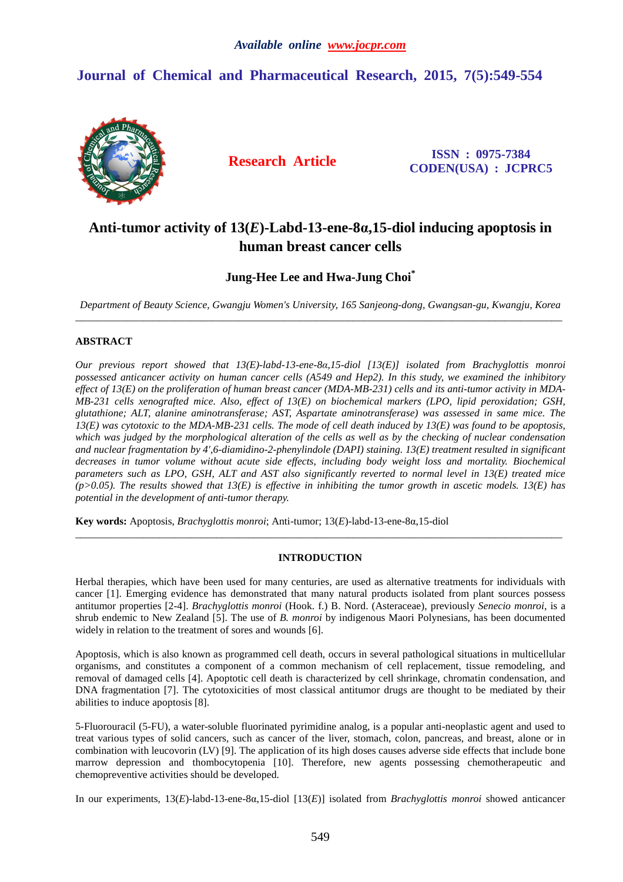# **Journal of Chemical and Pharmaceutical Research, 2015, 7(5):549-554**



**Research Article ISSN : 0975-7384 CODEN(USA) : JCPRC5**

# **Anti-tumor activity of 13(***E***)-Labd-13-ene-8α,15-diol inducing apoptosis in human breast cancer cells**

# **Jung-Hee Lee and Hwa-Jung Choi\***

*Department of Beauty Science, Gwangju Women's University, 165 Sanjeong-dong, Gwangsan-gu, Kwangju, Korea*   $\overline{a}$  , and the contribution of the contribution of the contribution of the contribution of the contribution of the contribution of the contribution of the contribution of the contribution of the contribution of the co

# **ABSTRACT**

*Our previous report showed that 13(E)-labd-13-ene-8α,15-diol [13(E)] isolated from Brachyglottis monroi possessed anticancer activity on human cancer cells (A549 and Hep2). In this study, we examined the inhibitory effect of 13(E) on the proliferation of human breast cancer (MDA-MB-231) cells and its anti-tumor activity in MDA-MB-231 cells xenografted mice. Also, effect of 13(E) on biochemical markers (LPO, lipid peroxidation; GSH, glutathione; ALT, alanine aminotransferase; AST, Aspartate aminotransferase) was assessed in same mice. The 13(E) was cytotoxic to the MDA-MB-231 cells. The mode of cell death induced by 13(E) was found to be apoptosis, which was judged by the morphological alteration of the cells as well as by the checking of nuclear condensation and nuclear fragmentation by 4',6-diamidino-2-phenylindole (DAPI) staining. 13(E) treatment resulted in significant decreases in tumor volume without acute side effects, including body weight loss and mortality. Biochemical parameters such as LPO, GSH, ALT and AST also significantly reverted to normal level in 13(E) treated mice (p>0.05). The results showed that 13(E) is effective in inhibiting the tumor growth in ascetic models. 13(E) has potential in the development of anti-tumor therapy.* 

**Key words:** Apoptosis, *Brachyglottis monroi*; Anti-tumor; 13(*E*)-labd-13-ene-8α,15-diol

# **INTRODUCTION**

\_\_\_\_\_\_\_\_\_\_\_\_\_\_\_\_\_\_\_\_\_\_\_\_\_\_\_\_\_\_\_\_\_\_\_\_\_\_\_\_\_\_\_\_\_\_\_\_\_\_\_\_\_\_\_\_\_\_\_\_\_\_\_\_\_\_\_\_\_\_\_\_\_\_\_\_\_\_\_\_\_\_\_\_\_\_\_\_\_\_\_\_\_

Herbal therapies, which have been used for many centuries, are used as alternative treatments for individuals with cancer [1]. Emerging evidence has demonstrated that many natural products isolated from plant sources possess antitumor properties [2-4]. *Brachyglottis monroi* (Hook. f.) B. Nord. (Asteraceae), previously *Senecio monroi*, is a shrub endemic to New Zealand [5]. The use of *B. monroi* by indigenous Maori Polynesians, has been documented widely in relation to the treatment of sores and wounds [6].

Apoptosis, which is also known as programmed cell death, occurs in several pathological situations in multicellular organisms, and constitutes a component of a common mechanism of cell replacement, tissue remodeling, and removal of damaged cells [4]. Apoptotic cell death is characterized by cell shrinkage, chromatin condensation, and DNA fragmentation [7]. The cytotoxicities of most classical antitumor drugs are thought to be mediated by their abilities to induce apoptosis [8].

5-Fluorouracil (5-FU), a water-soluble fluorinated pyrimidine analog, is a popular anti-neoplastic agent and used to treat various types of solid cancers, such as cancer of the liver, stomach, colon, pancreas, and breast, alone or in combination with leucovorin (LV) [9]. The application of its high doses causes adverse side effects that include bone marrow depression and thombocytopenia [10]. Therefore, new agents possessing chemotherapeutic and chemopreventive activities should be developed.

In our experiments, 13(*E*)-labd-13-ene-8α,15-diol [13(*E*)] isolated from *Brachyglottis monroi* showed anticancer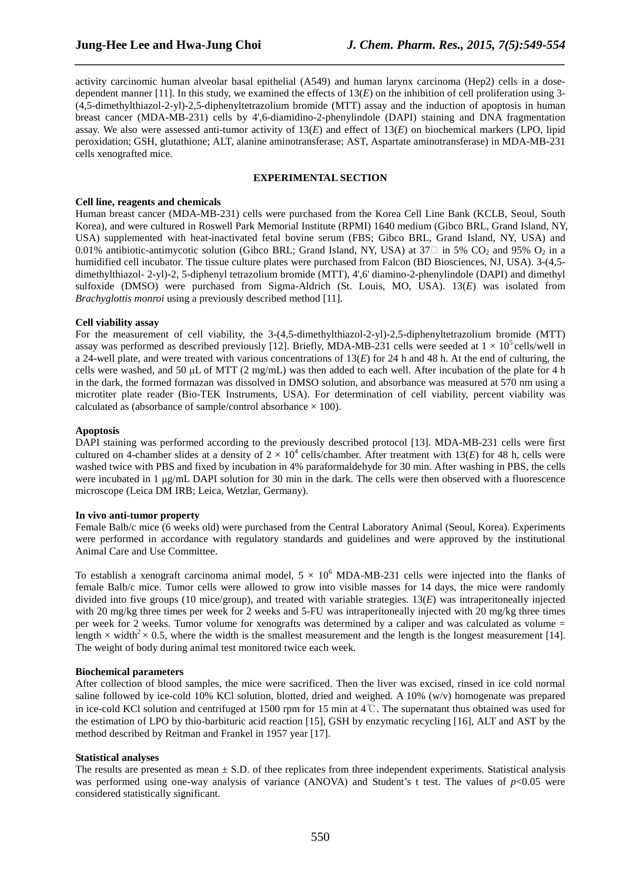activity carcinomic human alveolar basal epithelial (A549) and human larynx carcinoma (Hep2) cells in a dosedependent manner [11]. In this study, we examined the effects of  $13(E)$  on the inhibition of cell proliferation using 3-(4,5-dimethylthiazol-2-yl)-2,5-diphenyltetrazolium bromide (MTT) assay and the induction of apoptosis in human breast cancer (MDA-MB-231) cells by 4',6-diamidino-2-phenylindole (DAPI) staining and DNA fragmentation assay. We also were assessed anti-tumor activity of 13(*E*) and effect of 13(*E*) on biochemical markers (LPO, lipid peroxidation; GSH, glutathione; ALT, alanine aminotransferase; AST, Aspartate aminotransferase) in MDA-MB-231 cells xenografted mice.

*\_\_\_\_\_\_\_\_\_\_\_\_\_\_\_\_\_\_\_\_\_\_\_\_\_\_\_\_\_\_\_\_\_\_\_\_\_\_\_\_\_\_\_\_\_\_\_\_\_\_\_\_\_\_\_\_\_\_\_\_\_\_\_\_\_\_\_\_\_\_\_\_\_\_\_\_\_\_*

# **EXPERIMENTAL SECTION**

#### **Cell line, reagents and chemicals**

Human breast cancer (MDA-MB-231) cells were purchased from the Korea Cell Line Bank (KCLB, Seoul, South Korea), and were cultured in Roswell Park Memorial Institute (RPMI) 1640 medium (Gibco BRL, Grand Island, NY, USA) supplemented with heat-inactivated fetal bovine serum (FBS; Gibco BRL, Grand Island, NY, USA) and 0.01% antibiotic-antimycotic solution (Gibco BRL; Grand Island, NY, USA) at 37 $\Box$  in 5% CO<sub>2</sub> and 95% O<sub>2</sub> in a humidified cell incubator. The tissue culture plates were purchased from Falcon (BD Biosciences, NJ, USA). 3-(4,5 dimethylthiazol- 2-yl)-2, 5-diphenyl tetrazolium bromide (MTT), 4',6' diamino-2-phenylindole (DAPI) and dimethyl sulfoxide (DMSO) were purchased from Sigma-Aldrich (St. Louis, MO, USA). 13(*E*) was isolated from *Brachyglottis monroi* using a previously described method [11].

### **Cell viability assay**

For the measurement of cell viability, the 3-(4,5-dimethylthiazol-2-yl)-2,5-diphenyltetrazolium bromide (MTT) assay was performed as described previously [12]. Briefly, MDA-MB-231 cells were seeded at  $1 \times 10^5$  cells/well in a 24-well plate, and were treated with various concentrations of 13(*E*) for 24 h and 48 h. At the end of culturing, the cells were washed, and 50  $\mu$ L of MTT (2 mg/mL) was then added to each well. After incubation of the plate for 4 h in the dark, the formed formazan was dissolved in DMSO solution, and absorbance was measured at 570 nm using a microtiter plate reader (Bio-TEK Instruments, USA). For determination of cell viability, percent viability was calculated as (absorbance of sample/control absorbance  $\times$  100).

## **Apoptosis**

DAPI staining was performed according to the previously described protocol [13]. MDA-MB-231 cells were first cultured on 4-chamber slides at a density of  $2 \times 10^4$  cells/chamber. After treatment with 13(*E*) for 48 h, cells were washed twice with PBS and fixed by incubation in 4% paraformaldehyde for 30 min. After washing in PBS, the cells were incubated in 1  $\mu$ g/mL DAPI solution for 30 min in the dark. The cells were then observed with a fluorescence microscope (Leica DM IRB; Leica, Wetzlar, Germany).

### **In vivo anti-tumor property**

Female Balb/c mice (6 weeks old) were purchased from the Central Laboratory Animal (Seoul, Korea). Experiments were performed in accordance with regulatory standards and guidelines and were approved by the institutional Animal Care and Use Committee.

To establish a xenograft carcinoma animal model,  $5 \times 10^6$  MDA-MB-231 cells were injected into the flanks of female Balb/c mice. Tumor cells were allowed to grow into visible masses for 14 days, the mice were randomly divided into five groups (10 mice/group), and treated with variable strategies. 13(*E*) was intraperitoneally injected with 20 mg/kg three times per week for 2 weeks and 5-FU was intraperitoneally injected with 20 mg/kg three times per week for 2 weeks. Tumor volume for xenografts was determined by a caliper and was calculated as volume = length  $\times$  width<sup>2</sup> $\times$  0.5, where the width is the smallest measurement and the length is the longest measurement [14]. The weight of body during animal test monitored twice each week.

### **Biochemical parameters**

After collection of blood samples, the mice were sacrificed. Then the liver was excised, rinsed in ice cold normal saline followed by ice-cold 10% KCl solution, blotted, dried and weighed. A 10% (w/v) homogenate was prepared in ice-cold KCl solution and centrifuged at 1500 rpm for 15 min at 4℃. The supernatant thus obtained was used for the estimation of LPO by thio-barbituric acid reaction [15], GSH by enzymatic recycling [16], ALT and AST by the method described by Reitman and Frankel in 1957 year [17].

### **Statistical analyses**

The results are presented as mean  $\pm$  S.D. of thee replicates from three independent experiments. Statistical analysis was performed using one-way analysis of variance (ANOVA) and Student's t test. The values of  $p<0.05$  were considered statistically significant.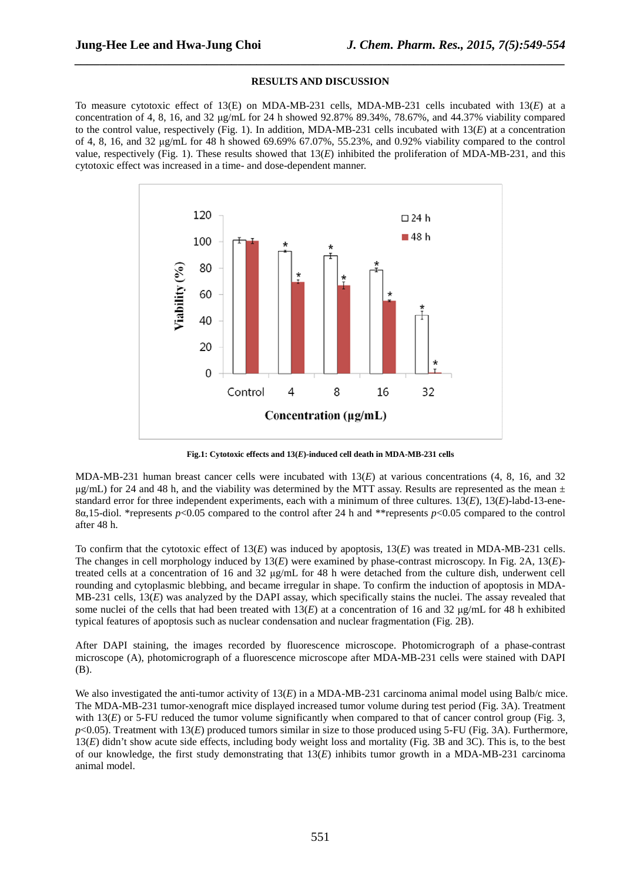### **RESULTS AND DISCUSSION**

*\_\_\_\_\_\_\_\_\_\_\_\_\_\_\_\_\_\_\_\_\_\_\_\_\_\_\_\_\_\_\_\_\_\_\_\_\_\_\_\_\_\_\_\_\_\_\_\_\_\_\_\_\_\_\_\_\_\_\_\_\_\_\_\_\_\_\_\_\_\_\_\_\_\_\_\_\_\_*

To measure cytotoxic effect of 13(E) on MDA-MB-231 cells, MDA-MB-231 cells incubated with 13(*E*) at a concentration of 4, 8, 16, and 32 µg/mL for 24 h showed 92.87% 89.34%, 78.67%, and 44.37% viability compared to the control value, respectively (Fig. 1). In addition, MDA-MB-231 cells incubated with 13(*E*) at a concentration of 4, 8, 16, and 32 µg/mL for 48 h showed 69.69% 67.07%, 55.23%, and 0.92% viability compared to the control value, respectively (Fig. 1). These results showed that 13(*E*) inhibited the proliferation of MDA-MB-231, and this cytotoxic effect was increased in a time- and dose-dependent manner.



**Fig.1: Cytotoxic effects and 13(***E***)-induced cell death in MDA-MB-231 cells** 

MDA-MB-231 human breast cancer cells were incubated with 13(*E*) at various concentrations (4, 8, 16, and 32  $\mu$ g/mL) for 24 and 48 h, and the viability was determined by the MTT assay. Results are represented as the mean  $\pm$ standard error for three independent experiments, each with a minimum of three cultures. 13(*E*), 13(*E*)-labd-13-ene-8α,15-diol. \*represents *p*<0.05 compared to the control after 24 h and \*\*represents *p*<0.05 compared to the control after 48 h.

To confirm that the cytotoxic effect of 13(*E*) was induced by apoptosis, 13(*E*) was treated in MDA-MB-231 cells. The changes in cell morphology induced by 13(*E*) were examined by phase-contrast microscopy. In Fig. 2A, 13(*E*) treated cells at a concentration of 16 and 32 µg/mL for 48 h were detached from the culture dish, underwent cell rounding and cytoplasmic blebbing, and became irregular in shape. To confirm the induction of apoptosis in MDA-MB-231 cells, 13(*E*) was analyzed by the DAPI assay, which specifically stains the nuclei. The assay revealed that some nuclei of the cells that had been treated with  $13(E)$  at a concentration of 16 and 32  $\mu g/mL$  for 48 h exhibited typical features of apoptosis such as nuclear condensation and nuclear fragmentation (Fig. 2B).

After DAPI staining, the images recorded by fluorescence microscope. Photomicrograph of a phase-contrast microscope (A), photomicrograph of a fluorescence microscope after MDA-MB-231 cells were stained with DAPI (B).

We also investigated the anti-tumor activity of 13(*E*) in a MDA-MB-231 carcinoma animal model using Balb/c mice. The MDA-MB-231 tumor-xenograft mice displayed increased tumor volume during test period (Fig. 3A). Treatment with  $13(E)$  or 5-FU reduced the tumor volume significantly when compared to that of cancer control group (Fig. 3, *p*<0.05). Treatment with 13(*E*) produced tumors similar in size to those produced using 5-FU (Fig. 3A). Furthermore, 13(*E*) didn't show acute side effects, including body weight loss and mortality (Fig. 3B and 3C). This is, to the best of our knowledge, the first study demonstrating that 13(*E*) inhibits tumor growth in a MDA-MB-231 carcinoma animal model.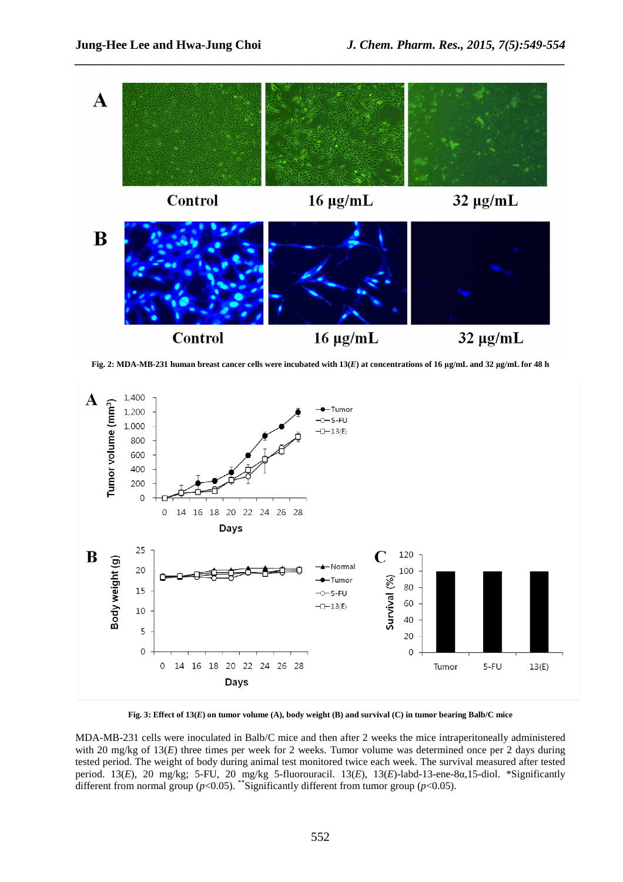

**Fig. 2: MDA-MB-231 human breast cancer cells were incubated with 13(***E***) at concentrations of 16 µg/mL and 32 µg/mL for 48 h**



**Fig. 3: Effect of 13(***E***) on tumor volume (A), body weight (B) and survival (C) in tumor bearing Balb/C mice**

MDA-MB-231 cells were inoculated in Balb/C mice and then after 2 weeks the mice intraperitoneally administered with 20 mg/kg of 13(*E*) three times per week for 2 weeks. Tumor volume was determined once per 2 days during tested period. The weight of body during animal test monitored twice each week. The survival measured after tested period. 13(*E*), 20 mg/kg; 5-FU, 20 mg/kg 5-fluorouracil. 13(*E*), 13(*E*)-labd-13-ene-8α,15-diol. \*Significantly different from normal group ( $p$ <0.05). \*\*Significantly different from tumor group ( $p$ <0.05).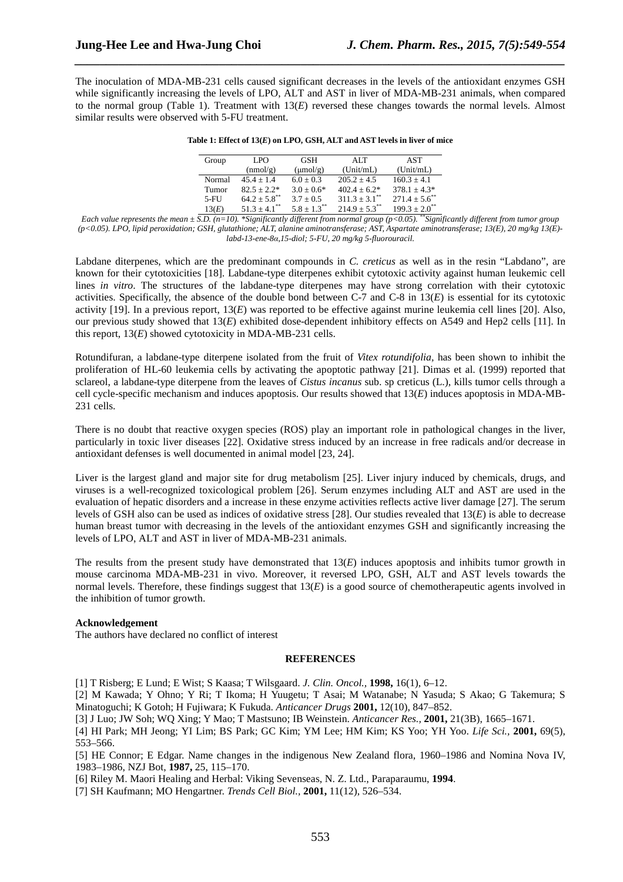The inoculation of MDA-MB-231 cells caused significant decreases in the levels of the antioxidant enzymes GSH while significantly increasing the levels of LPO, ALT and AST in liver of MDA-MB-231 animals, when compared to the normal group (Table 1). Treatment with  $13(E)$  reversed these changes towards the normal levels. Almost similar results were observed with 5-FU treatment.

*\_\_\_\_\_\_\_\_\_\_\_\_\_\_\_\_\_\_\_\_\_\_\_\_\_\_\_\_\_\_\_\_\_\_\_\_\_\_\_\_\_\_\_\_\_\_\_\_\_\_\_\_\_\_\_\_\_\_\_\_\_\_\_\_\_\_\_\_\_\_\_\_\_\_\_\_\_\_*

| LPO.                         | <b>GSH</b>           | ATT                           | <b>AST</b>                                                                                                                                                                                                                                           |
|------------------------------|----------------------|-------------------------------|------------------------------------------------------------------------------------------------------------------------------------------------------------------------------------------------------------------------------------------------------|
| (nmol/g)                     | $(\mu \text{mol/g})$ | (Unit/mL)                     | (Unit/mL)                                                                                                                                                                                                                                            |
| $45.4 + 1.4$                 | $6.0 + 0.3$          | $205.2 + 4.5$                 | $160.3 + 4.1$                                                                                                                                                                                                                                        |
| $82.5 + 2.2*$                | $3.0 + 0.6*$         | $402.4 + 6.2*$                | $378.1 + 4.3*$                                                                                                                                                                                                                                       |
| $64.2 + 5.8$ <sup>**</sup>   | $3.7 + 0.5$          | $311.3 \pm 3.1$ <sup>**</sup> | $271.4 + 5.6^{**}$                                                                                                                                                                                                                                   |
| $51.3 \pm 4.1$ <sup>**</sup> | $5.8 + 1.3^{**}$     | $214.9 + 5.3^{**}$            | $199.3 + 2.0^{**}$<br>the control of the control of the control of the second second second second second second second second second second second second second second second second second second second second second second second second secon |
|                              |                      |                               |                                                                                                                                                                                                                                                      |

|  | Table 1: Effect of $13(E)$ on LPO, GSH, ALT and AST levels in liver of mice |  |  |  |  |
|--|-----------------------------------------------------------------------------|--|--|--|--|
|  |                                                                             |  |  |  |  |

*Each value represents the mean*  $\pm$  *S.D.* (n=10). \*Significantly different from normal group (p<0.05). \*Significantly different from tumor group *(p<0.05). LPO, lipid peroxidation; GSH, glutathione; ALT, alanine aminotransferase; AST, Aspartate aminotransferase; 13(E), 20 mg/kg 13(E) labd-13-ene-8α,15-diol; 5-FU, 20 mg/kg 5-fluorouracil.* 

Labdane diterpenes, which are the predominant compounds in *C. creticus* as well as in the resin "Labdano", are known for their cytotoxicities [18]. Labdane-type diterpenes exhibit cytotoxic activity against human leukemic cell lines *in vitro*. The structures of the labdane-type diterpenes may have strong correlation with their cytotoxic activities. Specifically, the absence of the double bond between C-7 and C-8 in 13(*E*) is essential for its cytotoxic activity [19]. In a previous report, 13(*E*) was reported to be effective against murine leukemia cell lines [20]. Also, our previous study showed that 13(*E*) exhibited dose-dependent inhibitory effects on A549 and Hep2 cells [11]. In this report, 13(*E*) showed cytotoxicity in MDA-MB-231 cells.

Rotundifuran, a labdane-type diterpene isolated from the fruit of *Vitex rotundifolia,* has been shown to inhibit the proliferation of HL-60 leukemia cells by activating the apoptotic pathway [21]. Dimas et al. (1999) reported that sclareol, a labdane-type diterpene from the leaves of *Cistus incanus* sub. sp creticus (L.), kills tumor cells through a cell cycle-specific mechanism and induces apoptosis. Our results showed that 13(*E*) induces apoptosis in MDA-MB-231 cells.

There is no doubt that reactive oxygen species (ROS) play an important role in pathological changes in the liver, particularly in toxic liver diseases [22]. Oxidative stress induced by an increase in free radicals and/or decrease in antioxidant defenses is well documented in animal model [23, 24].

Liver is the largest gland and major site for drug metabolism [25]. Liver injury induced by chemicals, drugs, and viruses is a well-recognized toxicological problem [26]. Serum enzymes including ALT and AST are used in the evaluation of hepatic disorders and a increase in these enzyme activities reflects active liver damage [27]. The serum levels of GSH also can be used as indices of oxidative stress [28]. Our studies revealed that 13(*E*) is able to decrease human breast tumor with decreasing in the levels of the antioxidant enzymes GSH and significantly increasing the levels of LPO, ALT and AST in liver of MDA-MB-231 animals.

The results from the present study have demonstrated that 13(*E*) induces apoptosis and inhibits tumor growth in mouse carcinoma MDA-MB-231 in vivo. Moreover, it reversed LPO, GSH, ALT and AST levels towards the normal levels. Therefore, these findings suggest that 13(*E*) is a good source of chemotherapeutic agents involved in the inhibition of tumor growth.

### **Acknowledgement**

The authors have declared no conflict of interest

# **REFERENCES**

[1] T Risberg; E Lund; E Wist; S Kaasa; T Wilsgaard. *J. Clin. Oncol.,* **1998,** 16(1), 6–12.

[2] M Kawada; Y Ohno; Y Ri; T Ikoma; H Yuugetu; T Asai; M Watanabe; N Yasuda; S Akao; G Takemura; S Minatoguchi; K Gotoh; H Fujiwara; K Fukuda. *Anticancer Drugs* **2001,** 12(10), 847–852.

[3] J Luo; JW Soh; WQ Xing; Y Mao; T Mastsuno; IB Weinstein. *Anticancer Res.,* **2001,** 21(3B), 1665–1671.

[4] HI Park; MH Jeong; YI Lim; BS Park; GC Kim; YM Lee; HM Kim; KS Yoo; YH Yoo. *Life Sci.,* **2001,** 69(5), 553–566.

[5] HE Connor; E Edgar. Name changes in the indigenous New Zealand flora, 1960–1986 and Nomina Nova IV, 1983–1986, NZJ Bot, **1987,** 25, 115–170.

[6] Riley M. Maori Healing and Herbal: Viking Sevenseas, N. Z. Ltd., Paraparaumu, **1994**.

[7] SH Kaufmann; MO Hengartner. *Trends Cell Biol.,* **2001,** 11(12), 526–534.